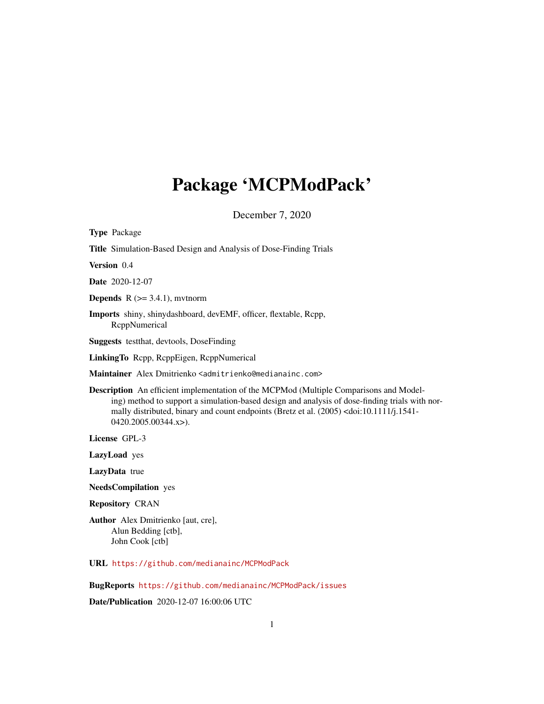## Package 'MCPModPack'

December 7, 2020

| <b>Type Package</b>                                                                                                                                                                                                                                                                                                                            |
|------------------------------------------------------------------------------------------------------------------------------------------------------------------------------------------------------------------------------------------------------------------------------------------------------------------------------------------------|
| Title Simulation-Based Design and Analysis of Dose-Finding Trials                                                                                                                                                                                                                                                                              |
| <b>Version</b> 0.4                                                                                                                                                                                                                                                                                                                             |
| <b>Date</b> 2020-12-07                                                                                                                                                                                                                                                                                                                         |
| <b>Depends</b> $R$ ( $> = 3.4.1$ ), mythorm                                                                                                                                                                                                                                                                                                    |
| <b>Imports</b> shiny, shinydashboard, devEMF, officer, flextable, Rcpp,<br>ReppNumerical                                                                                                                                                                                                                                                       |
| <b>Suggests</b> test that, deviools, DoseFinding                                                                                                                                                                                                                                                                                               |
| LinkingTo Repp, ReppEigen, ReppNumerical                                                                                                                                                                                                                                                                                                       |
| Maintainer Alex Dmitrienko <admitrienko@medianainc.com></admitrienko@medianainc.com>                                                                                                                                                                                                                                                           |
| <b>Description</b> An efficient implementation of the MCPMod (Multiple Comparisons and Model-<br>ing) method to support a simulation-based design and analysis of dose-finding trials with nor-<br>mally distributed, binary and count endpoints (Bretz et al. (2005) <doi:10.1111 j.1541-<br=""><math>0420.2005.00344.x</math>.</doi:10.1111> |
| License GPL-3                                                                                                                                                                                                                                                                                                                                  |
| <b>LazyLoad</b> yes                                                                                                                                                                                                                                                                                                                            |
| LazyData true                                                                                                                                                                                                                                                                                                                                  |
| <b>NeedsCompilation</b> yes                                                                                                                                                                                                                                                                                                                    |
| <b>Repository CRAN</b>                                                                                                                                                                                                                                                                                                                         |
| <b>Author</b> Alex Dmitrienko [aut, cre],<br>$\lambda$ lun Doddina Loth L                                                                                                                                                                                                                                                                      |

Alun Bedding [ctb], John Cook [ctb]

URL <https://github.com/medianainc/MCPModPack>

BugReports <https://github.com/medianainc/MCPModPack/issues>

Date/Publication 2020-12-07 16:00:06 UTC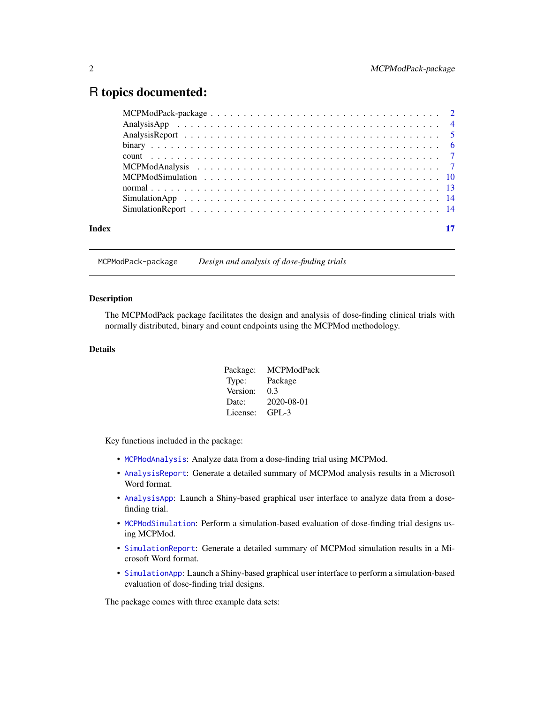## <span id="page-1-0"></span>R topics documented:

| Index |  |
|-------|--|
|       |  |

MCPModPack-package *Design and analysis of dose-finding trials*

## Description

The MCPModPack package facilitates the design and analysis of dose-finding clinical trials with normally distributed, binary and count endpoints using the MCPMod methodology.

#### Details

| Package: | <b>MCPModPack</b> |
|----------|-------------------|
| Type:    | Package           |
| Version: | 0.3               |
| Date:    | 2020-08-01        |
| License: | $GPI - 3$         |

Key functions included in the package:

- [MCPModAnalysis](#page-6-1): Analyze data from a dose-finding trial using MCPMod.
- [AnalysisReport](#page-4-1): Generate a detailed summary of MCPMod analysis results in a Microsoft Word format.
- [AnalysisApp](#page-3-1): Launch a Shiny-based graphical user interface to analyze data from a dosefinding trial.
- [MCPModSimulation](#page-9-1): Perform a simulation-based evaluation of dose-finding trial designs using MCPMod.
- [SimulationReport](#page-13-1): Generate a detailed summary of MCPMod simulation results in a Microsoft Word format.
- [SimulationApp](#page-13-2): Launch a Shiny-based graphical user interface to perform a simulation-based evaluation of dose-finding trial designs.

The package comes with three example data sets: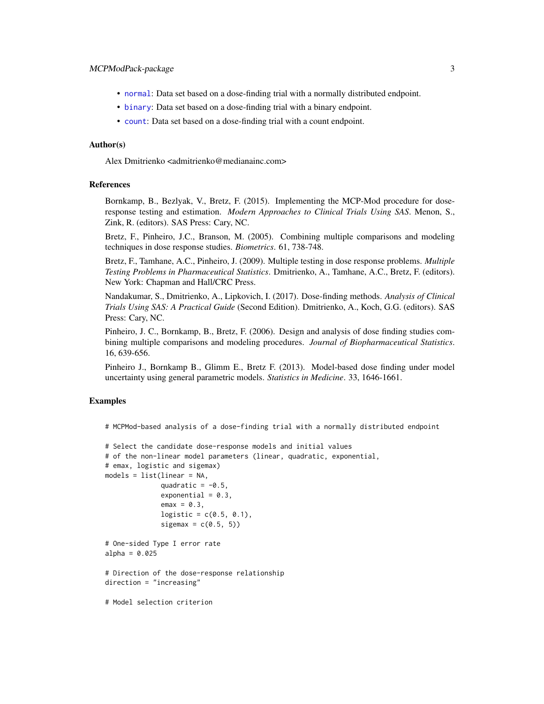- <span id="page-2-0"></span>• [normal](#page-12-1): Data set based on a dose-finding trial with a normally distributed endpoint.
- [binary](#page-5-1): Data set based on a dose-finding trial with a binary endpoint.
- [count](#page-6-2): Data set based on a dose-finding trial with a count endpoint.

#### Author(s)

Alex Dmitrienko <admitrienko@medianainc.com>

#### References

Bornkamp, B., Bezlyak, V., Bretz, F. (2015). Implementing the MCP-Mod procedure for doseresponse testing and estimation. *Modern Approaches to Clinical Trials Using SAS*. Menon, S., Zink, R. (editors). SAS Press: Cary, NC.

Bretz, F., Pinheiro, J.C., Branson, M. (2005). Combining multiple comparisons and modeling techniques in dose response studies. *Biometrics*. 61, 738-748.

Bretz, F., Tamhane, A.C., Pinheiro, J. (2009). Multiple testing in dose response problems. *Multiple Testing Problems in Pharmaceutical Statistics*. Dmitrienko, A., Tamhane, A.C., Bretz, F. (editors). New York: Chapman and Hall/CRC Press.

Nandakumar, S., Dmitrienko, A., Lipkovich, I. (2017). Dose-finding methods. *Analysis of Clinical Trials Using SAS: A Practical Guide* (Second Edition). Dmitrienko, A., Koch, G.G. (editors). SAS Press: Cary, NC.

Pinheiro, J. C., Bornkamp, B., Bretz, F. (2006). Design and analysis of dose finding studies combining multiple comparisons and modeling procedures. *Journal of Biopharmaceutical Statistics*. 16, 639-656.

Pinheiro J., Bornkamp B., Glimm E., Bretz F. (2013). Model-based dose finding under model uncertainty using general parametric models. *Statistics in Medicine*. 33, 1646-1661.

## Examples

```
# MCPMod-based analysis of a dose-finding trial with a normally distributed endpoint
```

```
# Select the candidate dose-response models and initial values
# of the non-linear model parameters (linear, quadratic, exponential,
# emax, logistic and sigemax)
models = list(linear = NA,
              quadratic = -0.5,
              exponential = 0.3,
              emax = 0.3,
              logistic = c(0.5, 0.1),
              sigemax = c(0.5, 5))
# One-sided Type I error rate
alpha = 0.025# Direction of the dose-response relationship
direction = "increasing"
# Model selection criterion
```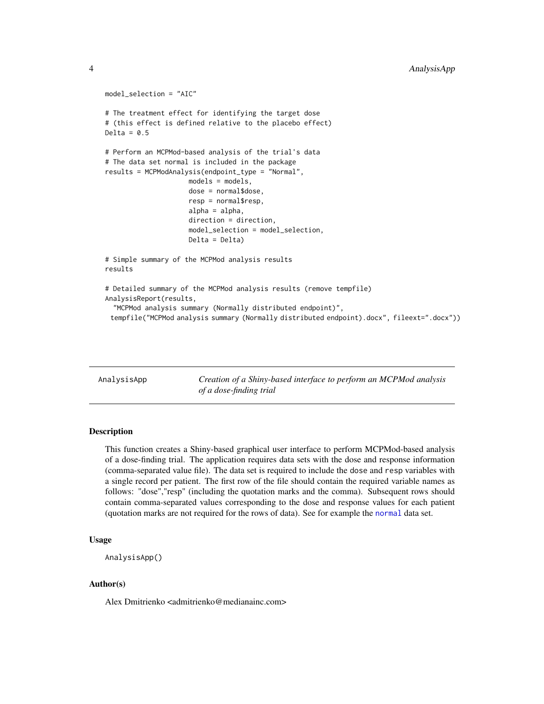```
model_selection = "AIC"
# The treatment effect for identifying the target dose
# (this effect is defined relative to the placebo effect)
Delta = 0.5# Perform an MCPMod-based analysis of the trial's data
# The data set normal is included in the package
results = MCPModAnalysis(endpoint_type = "Normal",
                     models = models,
                     dose = normal$dose,
                     resp = normal$resp,
                     alpha = alpha,
                     direction = direction,
                     model_selection = model_selection,
                     Delta = Delta)
# Simple summary of the MCPMod analysis results
results
# Detailed summary of the MCPMod analysis results (remove tempfile)
AnalysisReport(results,
  "MCPMod analysis summary (Normally distributed endpoint)",
 tempfile("MCPMod analysis summary (Normally distributed endpoint).docx", fileext=".docx"))
```
<span id="page-3-1"></span>AnalysisApp *Creation of a Shiny-based interface to perform an MCPMod analysis of a dose-finding trial*

#### Description

This function creates a Shiny-based graphical user interface to perform MCPMod-based analysis of a dose-finding trial. The application requires data sets with the dose and response information (comma-separated value file). The data set is required to include the dose and resp variables with a single record per patient. The first row of the file should contain the required variable names as follows: "dose","resp" (including the quotation marks and the comma). Subsequent rows should contain comma-separated values corresponding to the dose and response values for each patient (quotation marks are not required for the rows of data). See for example the [normal](#page-12-1) data set.

### Usage

```
AnalysisApp()
```
#### Author(s)

Alex Dmitrienko <admitrienko@medianainc.com>

<span id="page-3-0"></span>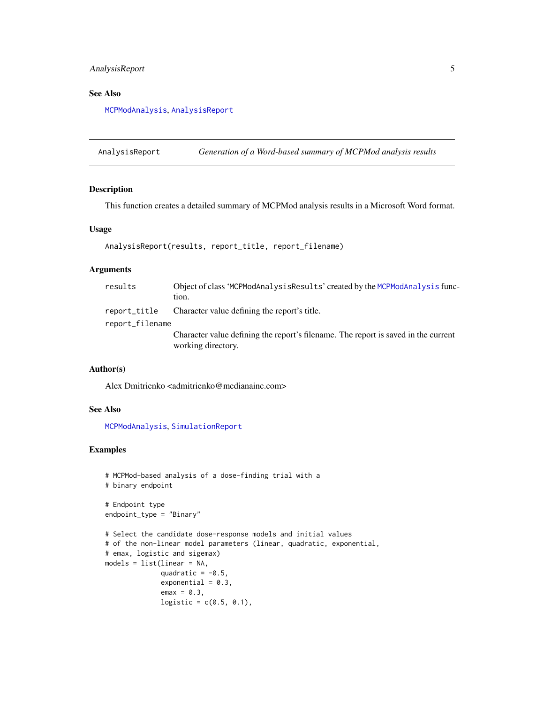## <span id="page-4-0"></span>AnalysisReport 5

## See Also

[MCPModAnalysis](#page-6-1), [AnalysisReport](#page-4-1)

<span id="page-4-1"></span>AnalysisReport *Generation of a Word-based summary of MCPMod analysis results*

#### Description

This function creates a detailed summary of MCPMod analysis results in a Microsoft Word format.

## Usage

```
AnalysisReport(results, report_title, report_filename)
```
## Arguments

| results                         | Object of class 'MCPModAnalysisResults' created by the MCPModAnalysis func-<br>tion. |
|---------------------------------|--------------------------------------------------------------------------------------|
| report_title<br>report_filename | Character value defining the report's title.                                         |
|                                 | Character value defining the report's filename. The report is saved in the current   |
|                                 | working directory.                                                                   |

#### Author(s)

Alex Dmitrienko <admitrienko@medianainc.com>

## See Also

[MCPModAnalysis](#page-6-1), [SimulationReport](#page-13-1)

#### Examples

```
# MCPMod-based analysis of a dose-finding trial with a
# binary endpoint
# Endpoint type
endpoint_type = "Binary"
# Select the candidate dose-response models and initial values
# of the non-linear model parameters (linear, quadratic, exponential,
# emax, logistic and sigemax)
models = list(linear = NA,
              quadratic = -0.5,
              exponential = 0.3,
              emax = 0.3,
              logistic = c(0.5, 0.1),
```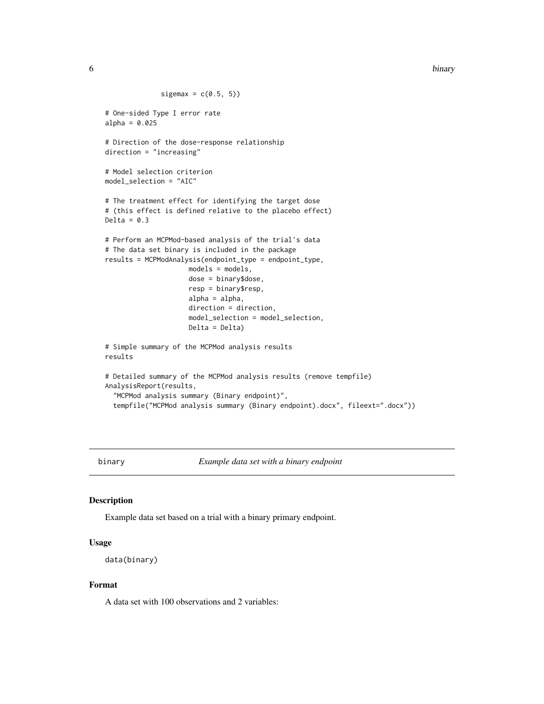<span id="page-5-0"></span>6 binary binary and the contract of the contract of the contract of the contract of the contract of the contract of the contract of the contract of the contract of the contract of the contract of the contract of the contra

```
sigemax = c(0.5, 5))
# One-sided Type I error rate
alpha = 0.025# Direction of the dose-response relationship
direction = "increasing"
# Model selection criterion
model_selection = "AIC"
# The treatment effect for identifying the target dose
# (this effect is defined relative to the placebo effect)
Delta = 0.3# Perform an MCPMod-based analysis of the trial's data
# The data set binary is included in the package
results = MCPModAnalysis(endpoint_type = endpoint_type,
                     models = models,
                     dose = binary$dose,
                     resp = binary$resp,
                     alpha = alpha,
                     direction = direction,
                     model_selection = model_selection,
                     Delta = Delta)
# Simple summary of the MCPMod analysis results
results
# Detailed summary of the MCPMod analysis results (remove tempfile)
AnalysisReport(results,
  "MCPMod analysis summary (Binary endpoint)",
  tempfile("MCPMod analysis summary (Binary endpoint).docx", fileext=".docx"))
```
<span id="page-5-1"></span>binary *Example data set with a binary endpoint*

#### Description

Example data set based on a trial with a binary primary endpoint.

## Usage

```
data(binary)
```
#### Format

A data set with 100 observations and 2 variables: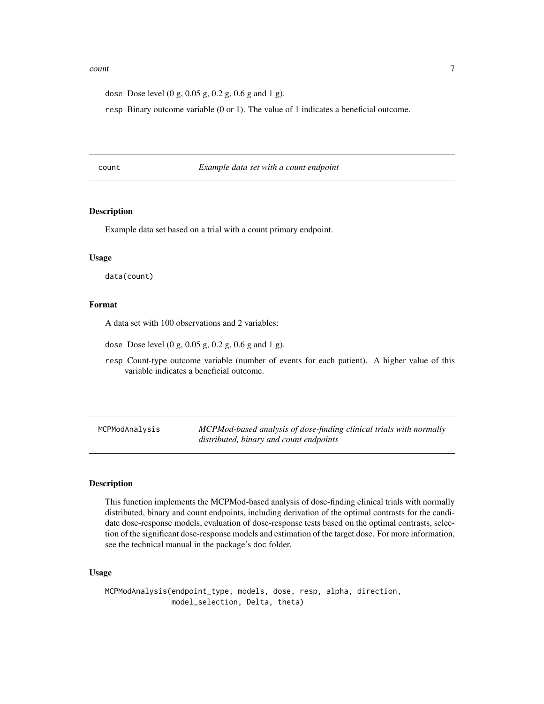#### <span id="page-6-0"></span> $count$   $\qquad \qquad$  7

dose Dose level (0 g, 0.05 g, 0.2 g, 0.6 g and 1 g).

resp Binary outcome variable (0 or 1). The value of 1 indicates a beneficial outcome.

<span id="page-6-2"></span>count *Example data set with a count endpoint*

#### **Description**

Example data set based on a trial with a count primary endpoint.

#### Usage

data(count)

#### Format

A data set with 100 observations and 2 variables:

dose Dose level (0 g, 0.05 g, 0.2 g, 0.6 g and 1 g).

resp Count-type outcome variable (number of events for each patient). A higher value of this variable indicates a beneficial outcome.

<span id="page-6-1"></span>MCPModAnalysis *MCPMod-based analysis of dose-finding clinical trials with normally distributed, binary and count endpoints*

## Description

This function implements the MCPMod-based analysis of dose-finding clinical trials with normally distributed, binary and count endpoints, including derivation of the optimal contrasts for the candidate dose-response models, evaluation of dose-response tests based on the optimal contrasts, selection of the significant dose-response models and estimation of the target dose. For more information, see the technical manual in the package's doc folder.

#### Usage

MCPModAnalysis(endpoint\_type, models, dose, resp, alpha, direction, model\_selection, Delta, theta)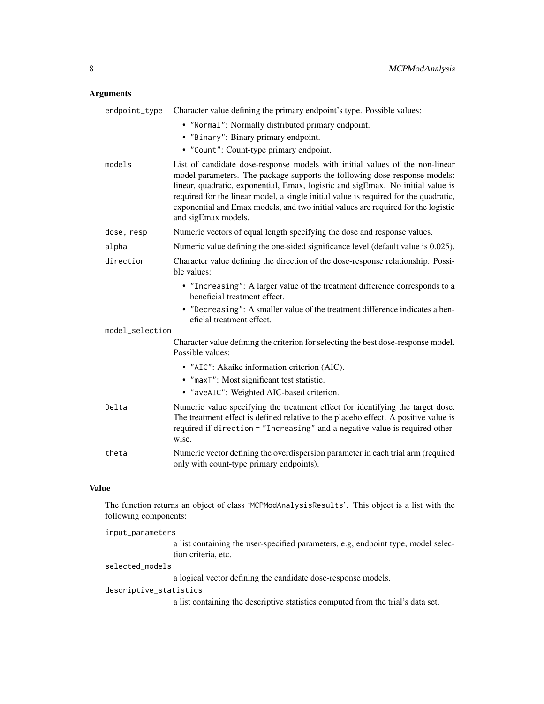## Arguments

| endpoint_type   | Character value defining the primary endpoint's type. Possible values:                                                                                                                                                                                                                                                                                                                                                                            |  |
|-----------------|---------------------------------------------------------------------------------------------------------------------------------------------------------------------------------------------------------------------------------------------------------------------------------------------------------------------------------------------------------------------------------------------------------------------------------------------------|--|
|                 | • "Normal": Normally distributed primary endpoint.                                                                                                                                                                                                                                                                                                                                                                                                |  |
|                 | • "Binary": Binary primary endpoint.                                                                                                                                                                                                                                                                                                                                                                                                              |  |
|                 | • "Count": Count-type primary endpoint.                                                                                                                                                                                                                                                                                                                                                                                                           |  |
| models          | List of candidate dose-response models with initial values of the non-linear<br>model parameters. The package supports the following dose-response models:<br>linear, quadratic, exponential, Emax, logistic and sigEmax. No initial value is<br>required for the linear model, a single initial value is required for the quadratic,<br>exponential and Emax models, and two initial values are required for the logistic<br>and sigEmax models. |  |
| dose, resp      | Numeric vectors of equal length specifying the dose and response values.                                                                                                                                                                                                                                                                                                                                                                          |  |
| alpha           | Numeric value defining the one-sided significance level (default value is 0.025).                                                                                                                                                                                                                                                                                                                                                                 |  |
| direction       | Character value defining the direction of the dose-response relationship. Possi-<br>ble values:                                                                                                                                                                                                                                                                                                                                                   |  |
|                 | • "Increasing": A larger value of the treatment difference corresponds to a<br>beneficial treatment effect.                                                                                                                                                                                                                                                                                                                                       |  |
|                 | • "Decreasing": A smaller value of the treatment difference indicates a ben-<br>eficial treatment effect.                                                                                                                                                                                                                                                                                                                                         |  |
| model_selection |                                                                                                                                                                                                                                                                                                                                                                                                                                                   |  |
|                 | Character value defining the criterion for selecting the best dose-response model.<br>Possible values:                                                                                                                                                                                                                                                                                                                                            |  |
|                 | • "AIC": Akaike information criterion (AIC).                                                                                                                                                                                                                                                                                                                                                                                                      |  |
|                 | • "maxT": Most significant test statistic.                                                                                                                                                                                                                                                                                                                                                                                                        |  |
|                 | • "aveAIC": Weighted AIC-based criterion.                                                                                                                                                                                                                                                                                                                                                                                                         |  |
| Delta           | Numeric value specifying the treatment effect for identifying the target dose.<br>The treatment effect is defined relative to the placebo effect. A positive value is<br>required if direction = "Increasing" and a negative value is required other-<br>wise.                                                                                                                                                                                    |  |
| theta           | Numeric vector defining the overdispersion parameter in each trial arm (required<br>only with count-type primary endpoints).                                                                                                                                                                                                                                                                                                                      |  |

## Value

The function returns an object of class 'MCPModAnalysisResults'. This object is a list with the following components:

| input_parameters       |                                                                                                          |  |
|------------------------|----------------------------------------------------------------------------------------------------------|--|
|                        | a list containing the user-specified parameters, e.g, endpoint type, model selec-<br>tion criteria, etc. |  |
| selected_models        |                                                                                                          |  |
|                        | a logical vector defining the candidate dose-response models.                                            |  |
| descriptive_statistics |                                                                                                          |  |
|                        | a list containing the descriptive statistics computed from the trial's data set.                         |  |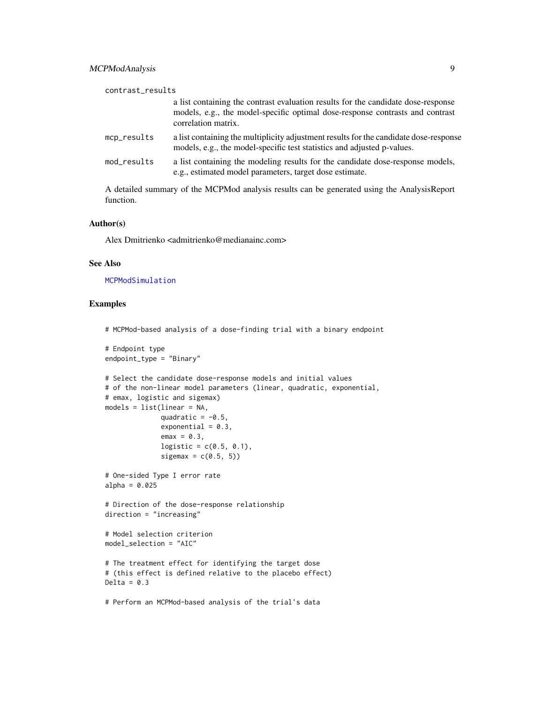<span id="page-8-0"></span>

| a list containing the contrast evaluation results for the candidate dose-response<br>models, e.g., the model-specific optimal dose-response contrasts and contrast<br>correlation matrix.<br>mcp_results<br>models, e.g., the model-specific test statistics and adjusted p-values.<br>a list containing the modeling results for the candidate dose-response models,<br>mod_results<br>e.g., estimated model parameters, target dose estimate. | contrast_results |                                                                                       |
|-------------------------------------------------------------------------------------------------------------------------------------------------------------------------------------------------------------------------------------------------------------------------------------------------------------------------------------------------------------------------------------------------------------------------------------------------|------------------|---------------------------------------------------------------------------------------|
|                                                                                                                                                                                                                                                                                                                                                                                                                                                 |                  |                                                                                       |
|                                                                                                                                                                                                                                                                                                                                                                                                                                                 |                  | a list containing the multiplicity adjustment results for the candidate dose-response |
|                                                                                                                                                                                                                                                                                                                                                                                                                                                 |                  |                                                                                       |

A detailed summary of the MCPMod analysis results can be generated using the AnalysisReport function.

#### Author(s)

Alex Dmitrienko <admitrienko@medianainc.com>

#### See Also

[MCPModSimulation](#page-9-1)

## Examples

```
# MCPMod-based analysis of a dose-finding trial with a binary endpoint
# Endpoint type
endpoint_type = "Binary"
# Select the candidate dose-response models and initial values
# of the non-linear model parameters (linear, quadratic, exponential,
# emax, logistic and sigemax)
models = list(linear = NA,
              quadratic = -0.5,
              exponential = 0.3,
              emax = 0.3,
              logistic = c(0.5, 0.1),
              sigemax = c(0.5, 5))
# One-sided Type I error rate
alpha = 0.025# Direction of the dose-response relationship
direction = "increasing"
# Model selection criterion
model_selection = "AIC"
# The treatment effect for identifying the target dose
# (this effect is defined relative to the placebo effect)
Delta = 0.3# Perform an MCPMod-based analysis of the trial's data
```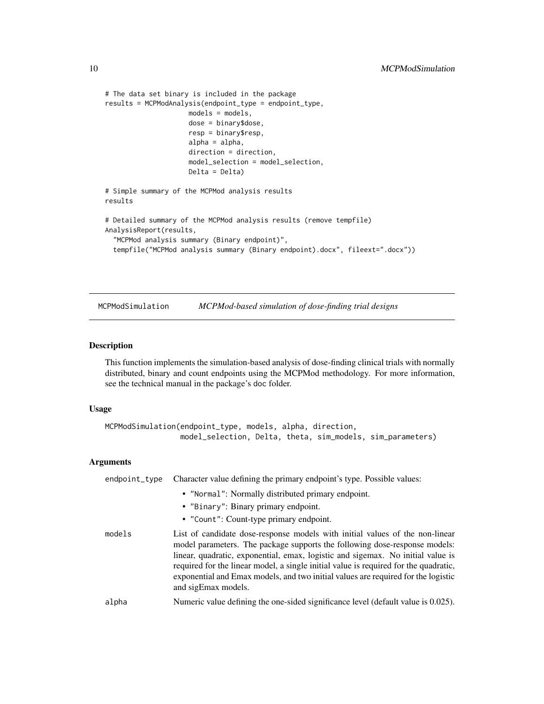```
# The data set binary is included in the package
results = MCPModAnalysis(endpoint_type = endpoint_type,
                    models = models,
                     dose = binary$dose,
                     resp = binary$resp,
                     alpha = alpha,
                     direction = direction,
                     model_selection = model_selection,
                     Delta = Delta)
# Simple summary of the MCPMod analysis results
results
# Detailed summary of the MCPMod analysis results (remove tempfile)
AnalysisReport(results,
  "MCPMod analysis summary (Binary endpoint)",
 tempfile("MCPMod analysis summary (Binary endpoint).docx", fileext=".docx"))
```
<span id="page-9-1"></span>MCPModSimulation *MCPMod-based simulation of dose-finding trial designs*

#### Description

This function implements the simulation-based analysis of dose-finding clinical trials with normally distributed, binary and count endpoints using the MCPMod methodology. For more information, see the technical manual in the package's doc folder.

#### Usage

```
MCPModSimulation(endpoint_type, models, alpha, direction,
                 model_selection, Delta, theta, sim_models, sim_parameters)
```
#### Arguments

| endpoint_type | Character value defining the primary endpoint's type. Possible values:                                                                                                                                                                                                                                                                                                                                                                            |
|---------------|---------------------------------------------------------------------------------------------------------------------------------------------------------------------------------------------------------------------------------------------------------------------------------------------------------------------------------------------------------------------------------------------------------------------------------------------------|
|               | • "Normal": Normally distributed primary endpoint.<br>• "Binary": Binary primary endpoint.<br>• "Count": Count-type primary endpoint.                                                                                                                                                                                                                                                                                                             |
| models        | List of candidate dose-response models with initial values of the non-linear<br>model parameters. The package supports the following dose-response models:<br>linear, quadratic, exponential, emax, logistic and sigemax. No initial value is<br>required for the linear model, a single initial value is required for the quadratic,<br>exponential and Emax models, and two initial values are required for the logistic<br>and sigEmax models. |
| alpha         | Numeric value defining the one-sided significance level (default value is 0.025).                                                                                                                                                                                                                                                                                                                                                                 |

<span id="page-9-0"></span>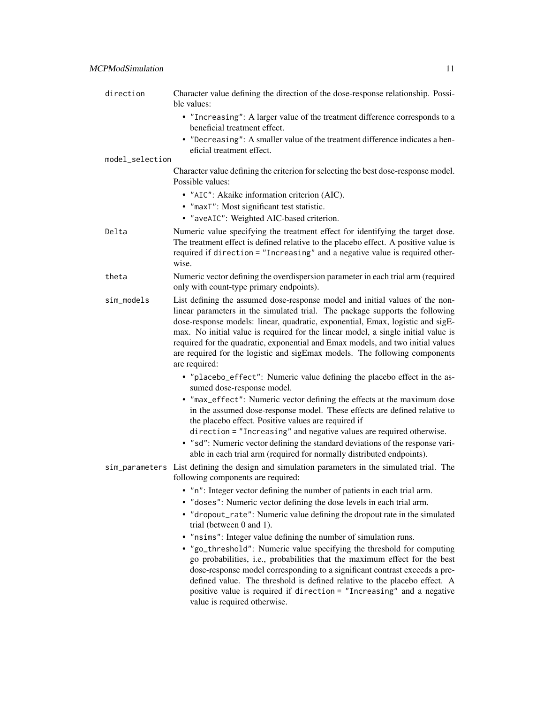| direction       | Character value defining the direction of the dose-response relationship. Possi-<br>ble values:                                                                                                                                                                                                                                                                                                                                                                                                                                                                                                                                                                                                                                                                  |
|-----------------|------------------------------------------------------------------------------------------------------------------------------------------------------------------------------------------------------------------------------------------------------------------------------------------------------------------------------------------------------------------------------------------------------------------------------------------------------------------------------------------------------------------------------------------------------------------------------------------------------------------------------------------------------------------------------------------------------------------------------------------------------------------|
|                 | • "Increasing": A larger value of the treatment difference corresponds to a<br>beneficial treatment effect.                                                                                                                                                                                                                                                                                                                                                                                                                                                                                                                                                                                                                                                      |
|                 | • "Decreasing": A smaller value of the treatment difference indicates a ben-<br>eficial treatment effect.                                                                                                                                                                                                                                                                                                                                                                                                                                                                                                                                                                                                                                                        |
| model_selection |                                                                                                                                                                                                                                                                                                                                                                                                                                                                                                                                                                                                                                                                                                                                                                  |
|                 | Character value defining the criterion for selecting the best dose-response model.<br>Possible values:                                                                                                                                                                                                                                                                                                                                                                                                                                                                                                                                                                                                                                                           |
|                 | · "AIC": Akaike information criterion (AIC).                                                                                                                                                                                                                                                                                                                                                                                                                                                                                                                                                                                                                                                                                                                     |
|                 | • "maxT": Most significant test statistic.                                                                                                                                                                                                                                                                                                                                                                                                                                                                                                                                                                                                                                                                                                                       |
|                 | • "aveAIC": Weighted AIC-based criterion.                                                                                                                                                                                                                                                                                                                                                                                                                                                                                                                                                                                                                                                                                                                        |
| Delta           | Numeric value specifying the treatment effect for identifying the target dose.<br>The treatment effect is defined relative to the placebo effect. A positive value is<br>required if direction = "Increasing" and a negative value is required other-<br>wise.                                                                                                                                                                                                                                                                                                                                                                                                                                                                                                   |
| theta           | Numeric vector defining the overdispersion parameter in each trial arm (required<br>only with count-type primary endpoints).                                                                                                                                                                                                                                                                                                                                                                                                                                                                                                                                                                                                                                     |
| sim_models      | List defining the assumed dose-response model and initial values of the non-<br>linear parameters in the simulated trial. The package supports the following<br>dose-response models: linear, quadratic, exponential, Emax, logistic and sigE-<br>max. No initial value is required for the linear model, a single initial value is<br>required for the quadratic, exponential and Emax models, and two initial values<br>are required for the logistic and sigEmax models. The following components<br>are required:                                                                                                                                                                                                                                            |
|                 | • "placebo_effect": Numeric value defining the placebo effect in the as-<br>sumed dose-response model.<br>. "max_effect": Numeric vector defining the effects at the maximum dose<br>in the assumed dose-response model. These effects are defined relative to<br>the placebo effect. Positive values are required if<br>direction = "Increasing" and negative values are required otherwise.<br>• "sd": Numeric vector defining the standard deviations of the response vari-<br>able in each trial arm (required for normally distributed endpoints).                                                                                                                                                                                                          |
|                 | sim_parameters List defining the design and simulation parameters in the simulated trial. The<br>following components are required:                                                                                                                                                                                                                                                                                                                                                                                                                                                                                                                                                                                                                              |
|                 | • "n": Integer vector defining the number of patients in each trial arm.<br>• "doses": Numeric vector defining the dose levels in each trial arm.<br>• "dropout_rate": Numeric value defining the dropout rate in the simulated<br>trial (between $0$ and $1$ ).<br>• "nsims": Integer value defining the number of simulation runs.<br>• "go_threshold": Numeric value specifying the threshold for computing<br>go probabilities, i.e., probabilities that the maximum effect for the best<br>dose-response model corresponding to a significant contrast exceeds a pre-<br>defined value. The threshold is defined relative to the placebo effect. A<br>positive value is required if direction = "Increasing" and a negative<br>value is required otherwise. |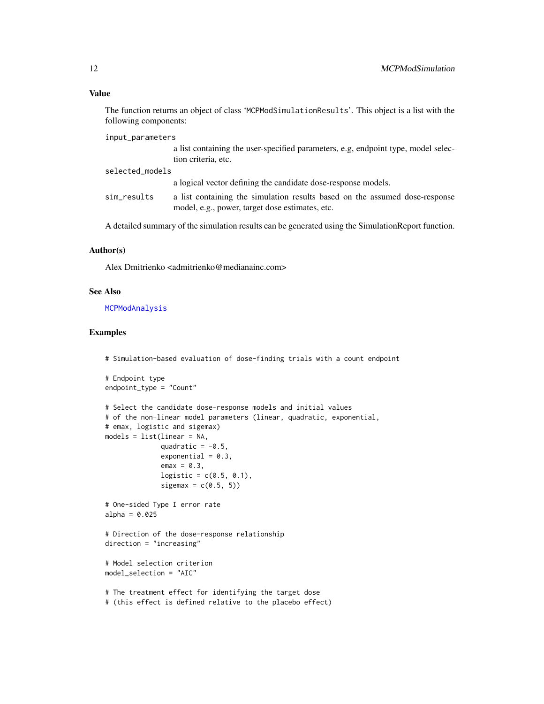## <span id="page-11-0"></span>Value

The function returns an object of class 'MCPModSimulationResults'. This object is a list with the following components:

input\_parameters

a list containing the user-specified parameters, e.g, endpoint type, model selection criteria, etc.

selected\_models

a logical vector defining the candidate dose-response models.

sim\_results a list containing the simulation results based on the assumed dose-response model, e.g., power, target dose estimates, etc.

A detailed summary of the simulation results can be generated using the SimulationReport function.

#### Author(s)

Alex Dmitrienko <admitrienko@medianainc.com>

#### See Also

[MCPModAnalysis](#page-6-1)

#### Examples

# Simulation-based evaluation of dose-finding trials with a count endpoint

```
# Endpoint type
endpoint_type = "Count"
# Select the candidate dose-response models and initial values
# of the non-linear model parameters (linear, quadratic, exponential,
# emax, logistic and sigemax)
models = list(linear = NA,
              quadratic = -0.5,
              exponential = 0.3,
              emax = 0.3,
             logistic = c(0.5, 0.1),sigemax = c(0.5, 5)# One-sided Type I error rate
alpha = 0.025# Direction of the dose-response relationship
direction = "increasing"
# Model selection criterion
model_selection = "AIC"
# The treatment effect for identifying the target dose
# (this effect is defined relative to the placebo effect)
```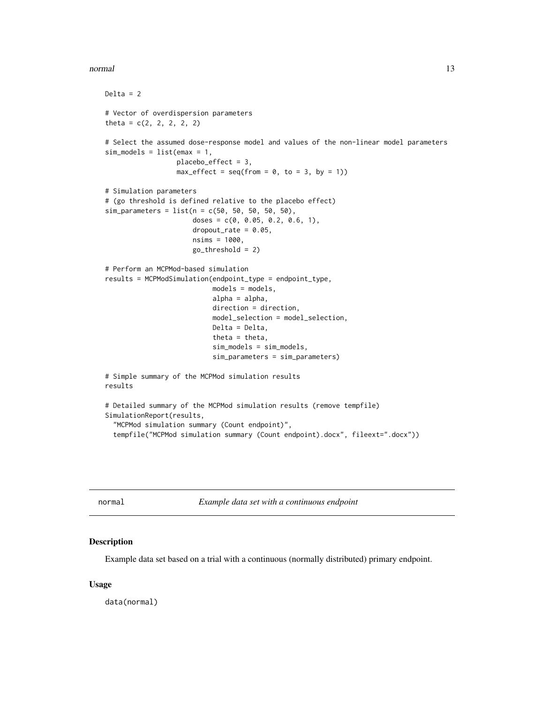#### <span id="page-12-0"></span>normal and the contract of the contract of the contract of the contract of the contract of the contract of the contract of the contract of the contract of the contract of the contract of the contract of the contract of the

```
Delta = 2# Vector of overdispersion parameters
theta = c(2, 2, 2, 2, 2)# Select the assumed dose-response model and values of the non-linear model parameters
sim\_models = list(emax = 1,placebo_effect = 3,
                  max_{-}effect = seq(from = 0, to = 3, by = 1)# Simulation parameters
# (go threshold is defined relative to the placebo effect)
sim\_parameters = list(n = c(50, 50, 50, 50, 50),
                      doses = c(0, 0.05, 0.2, 0.6, 1),
                      droput_rate = 0.05,
                      nsims = 1000,
                      go_threshold = 2)
# Perform an MCPMod-based simulation
results = MCPModSimulation(endpoint_type = endpoint_type,
                           models = models,
                           alpha = alpha,
                           direction = direction,
                           model_selection = model_selection,
                           Delta = Delta,
                           theta = theta,
                           sim_models = sim_models,
                           sim_parameters = sim_parameters)
# Simple summary of the MCPMod simulation results
results
# Detailed summary of the MCPMod simulation results (remove tempfile)
SimulationReport(results,
  "MCPMod simulation summary (Count endpoint)",
 tempfile("MCPMod simulation summary (Count endpoint).docx", fileext=".docx"))
```
<span id="page-12-1"></span>normal *Example data set with a continuous endpoint*

#### Description

Example data set based on a trial with a continuous (normally distributed) primary endpoint.

#### Usage

data(normal)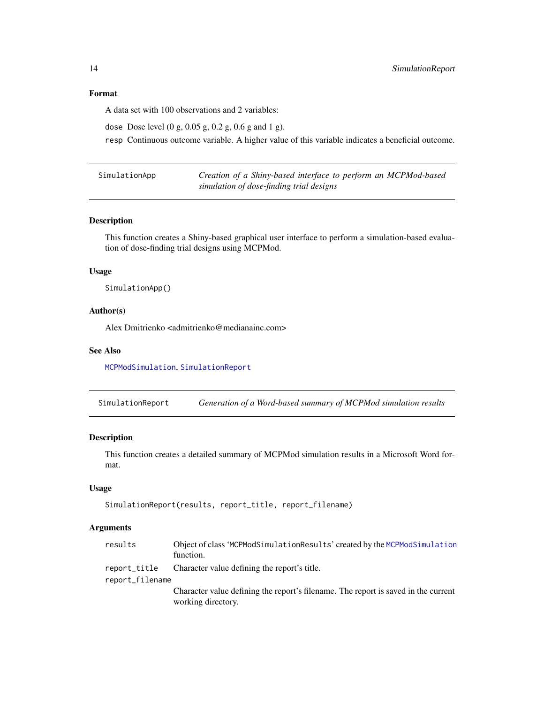#### Format

A data set with 100 observations and 2 variables:

dose Dose level (0 g, 0.05 g, 0.2 g, 0.6 g and 1 g).

resp Continuous outcome variable. A higher value of this variable indicates a beneficial outcome.

<span id="page-13-2"></span>

| SimulationApp | Creation of a Shiny-based interface to perform an MCPMod-based |
|---------------|----------------------------------------------------------------|
|               | simulation of dose-finding trial designs                       |

## Description

This function creates a Shiny-based graphical user interface to perform a simulation-based evaluation of dose-finding trial designs using MCPMod.

## Usage

SimulationApp()

#### Author(s)

Alex Dmitrienko <admitrienko@medianainc.com>

## See Also

[MCPModSimulation](#page-9-1), [SimulationReport](#page-13-1)

<span id="page-13-1"></span>SimulationReport *Generation of a Word-based summary of MCPMod simulation results*

## Description

This function creates a detailed summary of MCPMod simulation results in a Microsoft Word format.

#### Usage

```
SimulationReport(results, report_title, report_filename)
```
## Arguments

| results         | Object of class 'MCPModSimulationResults' created by the MCPModSimulation<br>function.                   |
|-----------------|----------------------------------------------------------------------------------------------------------|
| report_title    | Character value defining the report's title.                                                             |
| report_filename |                                                                                                          |
|                 | Character value defining the report's filename. The report is saved in the current<br>working directory. |

<span id="page-13-0"></span>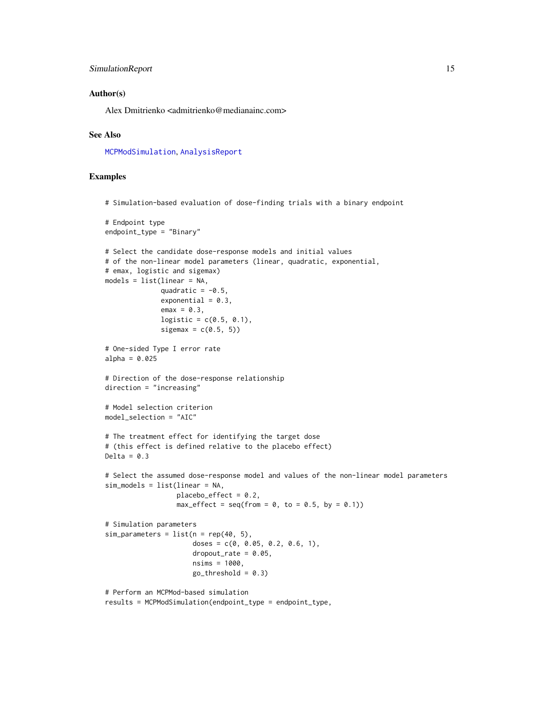## <span id="page-14-0"></span>SimulationReport 15

#### Author(s)

Alex Dmitrienko <admitrienko@medianainc.com>

#### See Also

[MCPModSimulation](#page-9-1), [AnalysisReport](#page-4-1)

## Examples

```
# Endpoint type
endpoint_type = "Binary"
# Select the candidate dose-response models and initial values
# of the non-linear model parameters (linear, quadratic, exponential,
# emax, logistic and sigemax)
models = list(linear = NA,
              quadratic = -0.5,
              exponential = 0.3,
              emax = 0.3,
              logistic = c(0.5, 0.1),
              sigemax = c(0.5, 5))
# One-sided Type I error rate
alpha = 0.025# Direction of the dose-response relationship
direction = "increasing"
# Model selection criterion
model_selection = "AIC"
# The treatment effect for identifying the target dose
# (this effect is defined relative to the placebo effect)
Delta = 0.3# Select the assumed dose-response model and values of the non-linear model parameters
sim_models = list(linear = NA,
                  placebo_effect = 0.2,
                  max_{\text{eff}} = seq(from = 0, to = 0.5, by = 0.1))
# Simulation parameters
sim\_parameters = list(n = rep(40, 5),doses = c(0, 0.05, 0.2, 0.6, 1),
                      dropout_rate = 0.05,
                      nsims = 1000,
                      go_{th}reshold = 0.3)
# Perform an MCPMod-based simulation
results = MCPModSimulation(endpoint_type = endpoint_type,
```
# Simulation-based evaluation of dose-finding trials with a binary endpoint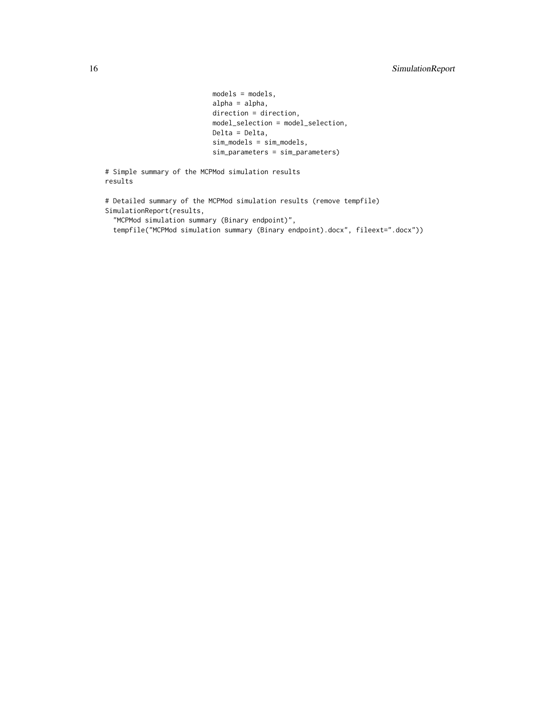```
models = models,
                           alpha = alpha,
                           direction = direction,
                           model_selection = model_selection,
                           Delta = Delta,
                           sim_models = sim_models,
                           sim_parameters = sim_parameters)
# Simple summary of the MCPMod simulation results
```

```
# Detailed summary of the MCPMod simulation results (remove tempfile)
SimulationReport(results,
  "MCPMod simulation summary (Binary endpoint)",
```

```
tempfile("MCPMod simulation summary (Binary endpoint).docx", fileext=".docx"))
```
results